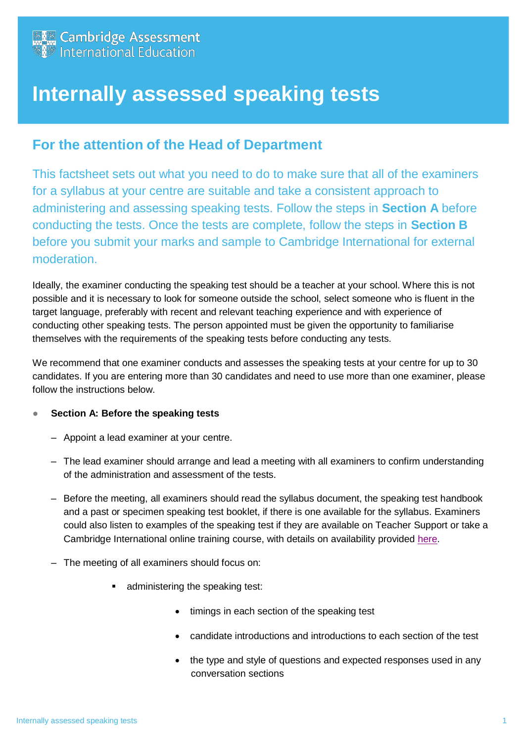

## **Internally assessed speaking tests**

## **For the attention of the Head of Department**

This factsheet sets out what you need to do to make sure that all of the examiners for a syllabus at your centre are suitable and take a consistent approach to administering and assessing speaking tests. Follow the steps in **Section A** before conducting the tests. Once the tests are complete, follow the steps in **Section B**  before you submit your marks and sample to Cambridge International for external moderation.

Ideally, the examiner conducting the speaking test should be a teacher at your school. Where this is not possible and it is necessary to look for someone outside the school, select someone who is fluent in the target language, preferably with recent and relevant teaching experience and with experience of conducting other speaking tests. The person appointed must be given the opportunity to familiarise themselves with the requirements of the speaking tests before conducting any tests.

We recommend that one examiner conducts and assesses the speaking tests at your centre for up to 30 candidates. If you are entering more than 30 candidates and need to use more than one examiner, please follow the instructions below.

## ● **Section A: Before the speaking tests**

- Appoint a lead examiner at your centre.
- The lead examiner should arrange and lead a meeting with all examiners to confirm understanding of the administration and assessment of the tests.
- Before the meeting, all examiners should read the syllabus document, the speaking test handbook and a past or specimen speaking test booklet, if there is one available for the syllabus. Examiners could also listen to examples of the speaking test if they are available on Teacher Support or take a Cambridge International online training course, with details on availability provided [here.](http://www.cambridgeinternational.org/cambridge-professional-development/events-and-training-calendar/)
- The meeting of all examiners should focus on:
	- **administering the speaking test:** 
		- timings in each section of the speaking test
		- candidate introductions and introductions to each section of the test
		- the type and style of questions and expected responses used in any conversation sections